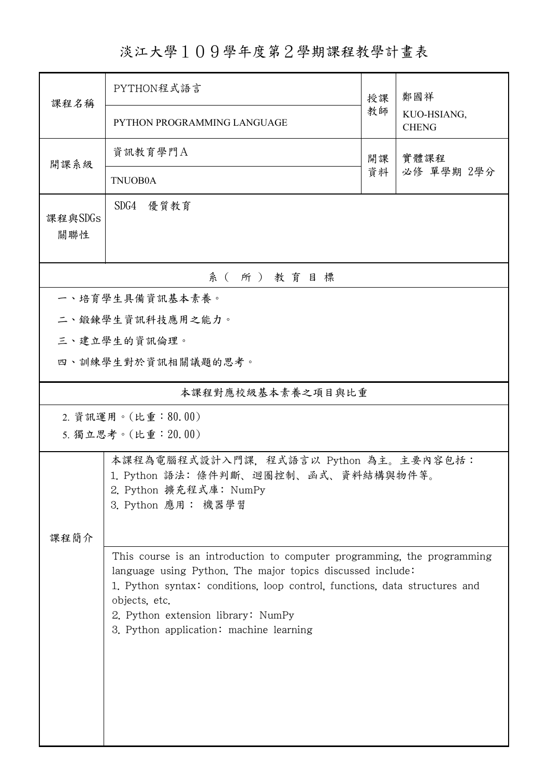## 淡江大學109學年度第2學期課程教學計畫表

| 課程名稱                                      | PYTHON程式語言<br>授課                                                                                                                                                                                                                                                                                                      |          | 鄭國祥                         |  |  |  |  |
|-------------------------------------------|-----------------------------------------------------------------------------------------------------------------------------------------------------------------------------------------------------------------------------------------------------------------------------------------------------------------------|----------|-----------------------------|--|--|--|--|
|                                           | PYTHON PROGRAMMING LANGUAGE                                                                                                                                                                                                                                                                                           | 教師       | KUO-HSIANG,<br><b>CHENG</b> |  |  |  |  |
| 開課系級                                      | 資訊教育學門A                                                                                                                                                                                                                                                                                                               | 開課<br>資料 | 實體課程<br>必修 單學期 2學分          |  |  |  |  |
|                                           | <b>TNUOB0A</b>                                                                                                                                                                                                                                                                                                        |          |                             |  |  |  |  |
| 課程與SDGs<br>關聯性                            | SDG4 優質教育                                                                                                                                                                                                                                                                                                             |          |                             |  |  |  |  |
| 系(所)教育目標                                  |                                                                                                                                                                                                                                                                                                                       |          |                             |  |  |  |  |
|                                           | 一、培育學生具備資訊基本素養。                                                                                                                                                                                                                                                                                                       |          |                             |  |  |  |  |
|                                           | 二、鍛鍊學生資訊科技應用之能力。                                                                                                                                                                                                                                                                                                      |          |                             |  |  |  |  |
|                                           | 三、建立學生的資訊倫理。                                                                                                                                                                                                                                                                                                          |          |                             |  |  |  |  |
| 四、訓練學生對於資訊相關議題的思考。                        |                                                                                                                                                                                                                                                                                                                       |          |                             |  |  |  |  |
| 本課程對應校級基本素養之項目與比重                         |                                                                                                                                                                                                                                                                                                                       |          |                             |  |  |  |  |
| 2. 資訊運用。(比重:80.00)<br>5. 獨立思考。(比重: 20.00) |                                                                                                                                                                                                                                                                                                                       |          |                             |  |  |  |  |
| 課程簡介                                      | 本課程為電腦程式設計入門課, 程式語言以 Python 為主。主要內容包括:<br>1. Python 語法: 條件判斷、迴圈控制、函式、資料結構與物件等。<br>2. Python 擴充程式庫: NumPy<br>3. Python 應用: 機器學習                                                                                                                                                                                        |          |                             |  |  |  |  |
|                                           | This course is an introduction to computer programming, the programming<br>language using Python. The major topics discussed include:<br>1. Python syntax: conditions, loop control, functions, data structures and<br>objects, etc.<br>2. Python extension library: NumPy<br>3. Python application: machine learning |          |                             |  |  |  |  |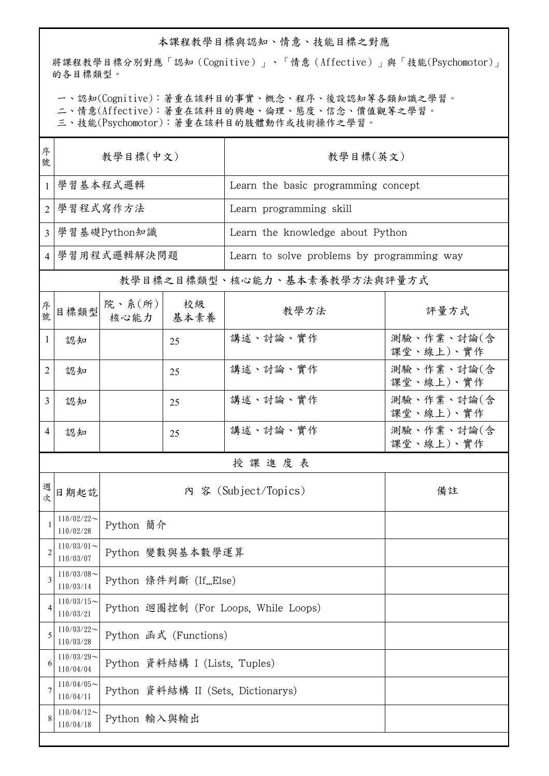## 本課程教學目標與認知、情意、技能目標之對應

將課程教學目標分別對應「認知(Cognitive)」、「情意(Affective)」與「技能(Psychomotor)」 的各目標類型。

一、認知(Cognitive):著重在該科目的事實、概念、程序、後設認知等各類知識之學習。

二、情意(Affective):著重在該科目的興趣、倫理、態度、信念、價值觀等之學習。

三、技能(Psychomotor):著重在該科目的肢體動作或技術操作之學習。

| 序<br>號         | 教學目標(中文)                                   |                                      |            | 教學目標(英文)                                   |                         |  |
|----------------|--------------------------------------------|--------------------------------------|------------|--------------------------------------------|-------------------------|--|
| 1              | 學習基本程式邏輯                                   |                                      |            | Learn the basic programming concept        |                         |  |
| 2              | 學習程式寫作方法                                   |                                      |            | Learn programming skill                    |                         |  |
| $\overline{3}$ | 學習基礎Python知識                               |                                      |            | Learn the knowledge about Python           |                         |  |
|                | 4 學習用程式邏輯解決問題                              |                                      |            | Learn to solve problems by programming way |                         |  |
|                |                                            |                                      |            | 教學目標之目標類型、核心能力、基本素養教學方法與評量方式               |                         |  |
| 序號             | 目標類型                                       | 院、系(所) <br>核心能力                      | 校級<br>基本素養 | 教學方法                                       | 評量方式                    |  |
| $\mathbf{1}$   | 認知                                         |                                      | 25         | 講述、討論、實作                                   | 測驗、作業、討論(含<br>課堂、線上)、實作 |  |
| 2              | 認知                                         |                                      | 25         | 講述、討論、實作                                   | 測驗、作業、討論(含<br>課堂、線上)、實作 |  |
| 3              | 認知                                         |                                      | 25         | 講述、討論、實作                                   | 測驗、作業、討論(含<br>課堂、線上)、實作 |  |
| 4              | 認知                                         |                                      | 25         | 講述、討論、實作                                   | 測驗、作業、討論(含<br>課堂、線上)、實作 |  |
|                | 授課進度表                                      |                                      |            |                                            |                         |  |
| 週<br>次         | 日期起訖                                       |                                      |            | 內 容 (Subject/Topics)                       | 備註                      |  |
|                | $110/02/22$ ~<br>110/02/28                 | Python 簡介                            |            |                                            |                         |  |
| $\overline{2}$ | $110/03/01$ ~<br>110/03/07                 | Python 變數與基本數學運算                     |            |                                            |                         |  |
| 3              | $110/03/08$ ~<br>110/03/14                 | Python 條件判斷 (IfElse)                 |            |                                            |                         |  |
| 4              | $110/03/15$ ~<br>110/03/21                 | Python 迴圈控制 (For Loops, While Loops) |            |                                            |                         |  |
| 5              | $110/03/22$ ~<br>110/03/28                 | Python 函式 (Functions)                |            |                                            |                         |  |
| 6              | $110/03/29$ ~<br>110/04/04                 | Python 資料結構 I (Lists, Tuples)        |            |                                            |                         |  |
|                | $110/04/05$ ~<br>110/04/11                 | Python 資料結構 II (Sets, Dictionarys)   |            |                                            |                         |  |
| 8              | $110/04/12$ ~<br>Python 輸入與輸出<br>110/04/18 |                                      |            |                                            |                         |  |